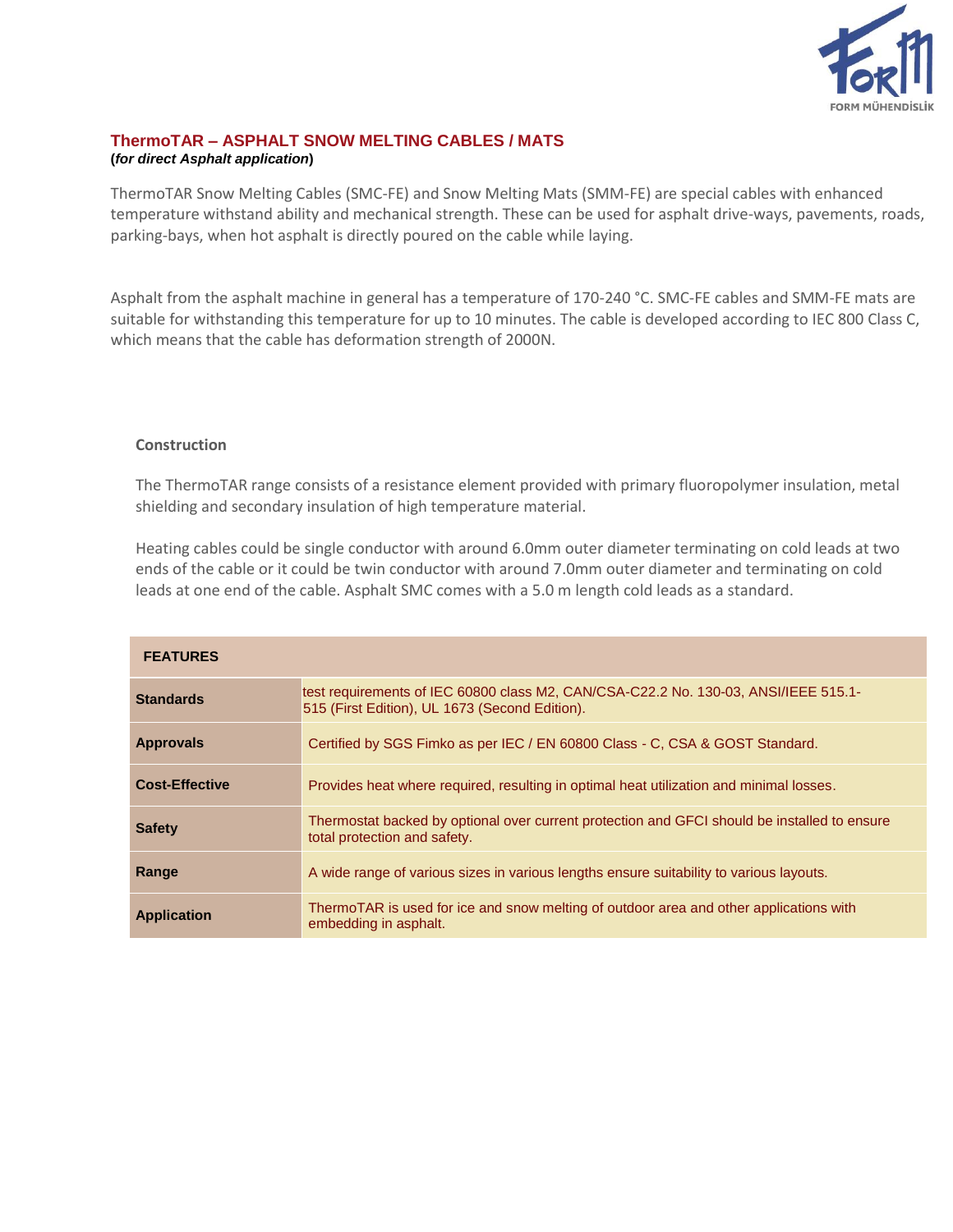

## **ThermoTAR – ASPHALT SNOW MELTING CABLES / MATS (***for direct Asphalt application***)**

ThermoTAR Snow Melting Cables (SMC-FE) and Snow Melting Mats (SMM-FE) are special cables with enhanced temperature withstand ability and mechanical strength. These can be used for asphalt drive-ways, pavements, roads, parking-bays, when hot asphalt is directly poured on the cable while laying.

Asphalt from the asphalt machine in general has a temperature of 170-240 °C. SMC-FE cables and SMM-FE mats are suitable for withstanding this temperature for up to 10 minutes. The cable is developed according to IEC 800 Class C, which means that the cable has deformation strength of 2000N.

## **Construction**

The ThermoTAR range consists of a resistance element provided with primary fluoropolymer insulation, metal shielding and secondary insulation of high temperature material.

Heating cables could be single conductor with around 6.0mm outer diameter terminating on cold leads at two ends of the cable or it could be twin conductor with around 7.0mm outer diameter and terminating on cold leads at one end of the cable. Asphalt SMC comes with a 5.0 m length cold leads as a standard.

| <b>FEATURES</b>       |                                                                                                                                       |
|-----------------------|---------------------------------------------------------------------------------------------------------------------------------------|
| <b>Standards</b>      | test requirements of IEC 60800 class M2, CAN/CSA-C22.2 No. 130-03, ANSI/IEEE 515.1-<br>515 (First Edition), UL 1673 (Second Edition). |
| <b>Approvals</b>      | Certified by SGS Fimko as per IEC / EN 60800 Class - C, CSA & GOST Standard.                                                          |
| <b>Cost-Effective</b> | Provides heat where required, resulting in optimal heat utilization and minimal losses.                                               |
| <b>Safety</b>         | Thermostat backed by optional over current protection and GFCI should be installed to ensure<br>total protection and safety.          |
| Range                 | A wide range of various sizes in various lengths ensure suitability to various layouts.                                               |
| <b>Application</b>    | ThermoTAR is used for ice and snow melting of outdoor area and other applications with<br>embedding in asphalt.                       |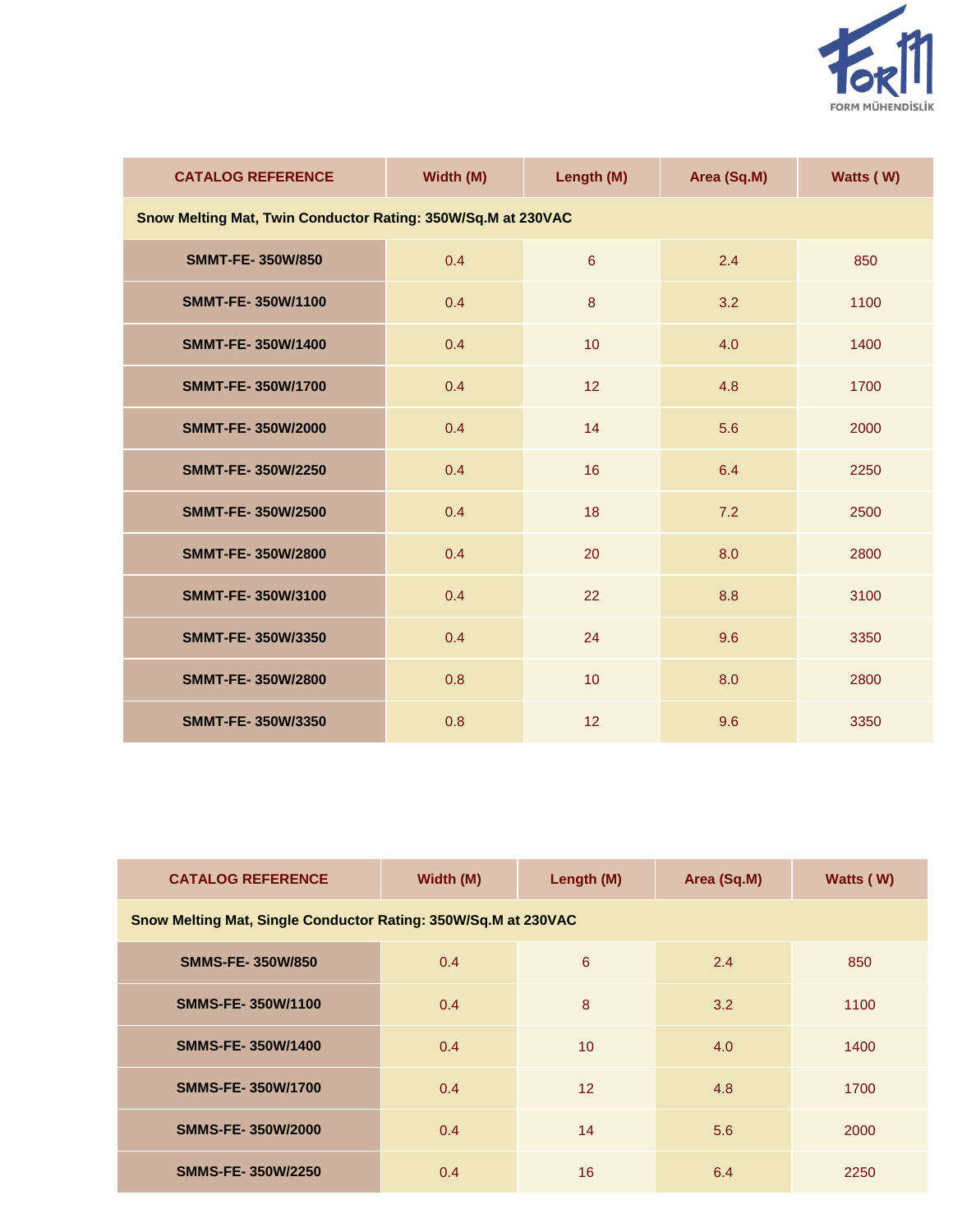

| <b>CATALOG REFERENCE</b>                                     | Width (M) | Length (M)       | Area (Sq.M) | Watts (W) |  |  |  |
|--------------------------------------------------------------|-----------|------------------|-------------|-----------|--|--|--|
| Snow Melting Mat, Twin Conductor Rating: 350W/Sq.M at 230VAC |           |                  |             |           |  |  |  |
| <b>SMMT-FE-350W/850</b>                                      | 0.4       | $6\phantom{a}$   | 2.4         | 850       |  |  |  |
| <b>SMMT-FE-350W/1100</b>                                     | 0.4       | $\boldsymbol{8}$ | 3.2         | 1100      |  |  |  |
| SMMT-FE-350W/1400                                            | 0.4       | 10               | 4.0         | 1400      |  |  |  |
| <b>SMMT-FE-350W/1700</b>                                     | 0.4       | 12               | 4.8         | 1700      |  |  |  |
| <b>SMMT-FE-350W/2000</b>                                     | 0.4       | 14               | 5.6         | 2000      |  |  |  |
| <b>SMMT-FE-350W/2250</b>                                     | 0.4       | 16               | 6.4         | 2250      |  |  |  |
| <b>SMMT-FE-350W/2500</b>                                     | 0.4       | 18               | 7.2         | 2500      |  |  |  |
| <b>SMMT-FE-350W/2800</b>                                     | 0.4       | 20               | 8.0         | 2800      |  |  |  |
| SMMT-FE-350W/3100                                            | 0.4       | 22               | 8.8         | 3100      |  |  |  |
| SMMT-FE-350W/3350                                            | 0.4       | 24               | 9.6         | 3350      |  |  |  |
| SMMT-FE-350W/2800                                            | 0.8       | 10               | 8.0         | 2800      |  |  |  |
| SMMT-FE-350W/3350                                            | 0.8       | 12               | 9.6         | 3350      |  |  |  |

| <b>CATALOG REFERENCE</b>                                       | Width (M) | Length (M)      | Area (Sq.M) | Watts (W) |  |  |  |
|----------------------------------------------------------------|-----------|-----------------|-------------|-----------|--|--|--|
| Snow Melting Mat, Single Conductor Rating: 350W/Sq.M at 230VAC |           |                 |             |           |  |  |  |
| <b>SMMS-FE-350W/850</b>                                        | 0.4       | 6               | 2.4         | 850       |  |  |  |
| <b>SMMS-FE-350W/1100</b>                                       | 0.4       | 8               | 3.2         | 1100      |  |  |  |
| <b>SMMS-FE-350W/1400</b>                                       | 0.4       | 10              | 4.0         | 1400      |  |  |  |
| <b>SMMS-FE-350W/1700</b>                                       | 0.4       | 12 <sup>2</sup> | 4.8         | 1700      |  |  |  |
| <b>SMMS-FE-350W/2000</b>                                       | 0.4       | 14              | 5.6         | 2000      |  |  |  |
| <b>SMMS-FE-350W/2250</b>                                       | 0.4       | 16              | 6.4         | 2250      |  |  |  |